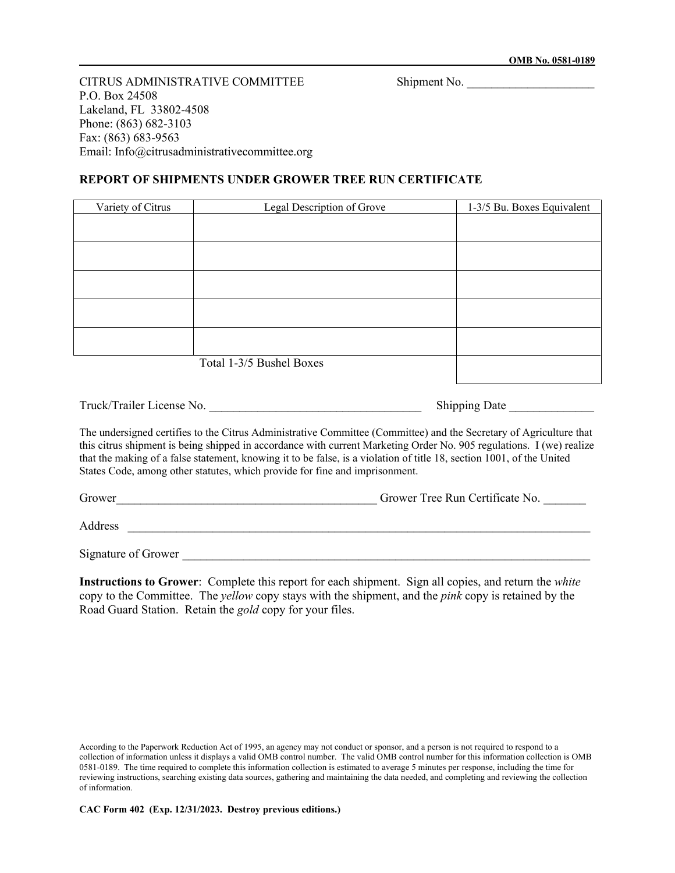CITRUS ADMINISTRATIVE COMMITTEE Shipment No. P.O. Box 24508 Lakeland, FL 33802-4508 Phone: (863) 682-3103 Fax: (863) 683-9563 Email: Info@citrusadministrativecommittee.org

## **REPORT OF SHIPMENTS UNDER GROWER TREE RUN CERTIFICATE**

| Variety of Citrus | Legal Description of Grove | 1-3/5 Bu. Boxes Equivalent |
|-------------------|----------------------------|----------------------------|
|                   |                            |                            |
|                   |                            |                            |
|                   |                            |                            |
|                   |                            |                            |
|                   |                            |                            |
|                   |                            |                            |
|                   | Total 1-3/5 Bushel Boxes   |                            |

| Truck/Trailer License No. | <b>Shipping Date</b> |
|---------------------------|----------------------|
|---------------------------|----------------------|

The undersigned certifies to the Citrus Administrative Committee (Committee) and the Secretary of Agriculture that this citrus shipment is being shipped in accordance with current Marketing Order No. 905 regulations. I (we) realize that the making of a false statement, knowing it to be false, is a violation of title 18, section 1001, of the United States Code, among other statutes, which provide for fine and imprisonment.

Grower<br>Grower Tree Run Certificate No.

Address \_\_\_\_\_\_\_\_\_\_\_\_\_\_\_\_\_\_\_\_\_\_\_\_\_\_\_\_\_\_\_\_\_\_\_\_\_\_\_\_\_\_\_\_\_\_\_\_\_\_\_\_\_\_\_\_\_\_\_\_\_\_\_\_\_\_\_\_\_\_\_\_\_\_\_\_

Signature of Grower

**Instructions to Grower**: Complete this report for each shipment. Sign all copies, and return the *white* copy to the Committee. The *yellow* copy stays with the shipment, and the *pink* copy is retained by the Road Guard Station. Retain the *gold* copy for your files.

**CAC Form 402 (Exp. 12/31/2023. Destroy previous editions.)**

According to the Paperwork Reduction Act of 1995, an agency may not conduct or sponsor, and a person is not required to respond to a collection of information unless it displays a valid OMB control number. The valid OMB control number for this information collection is OMB 0581-0189. The time required to complete this information collection is estimated to average 5 minutes per response, including the time for reviewing instructions, searching existing data sources, gathering and maintaining the data needed, and completing and reviewing the collection of information.